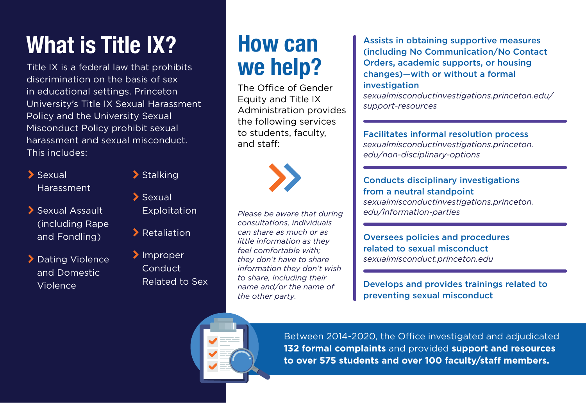# **What is Title IX?**

Title IX is a federal law that prohibits discrimination on the basis of sex in educational settings. Princeton University's Title IX Sexual Harassment Policy and the University Sexual Misconduct Policy prohibit sexual harassment and sexual misconduct. This includes:

- > Sexual Harassment
- \ Sexual Assault (including Rape and Fondling)
- > Dating Violence and Domestic Violence
- > Stalking
- \ Sexual **Exploitation**
- \ Retaliation
- > Improper Conduct Related to Sex

### **How can we help?**

The Office of Gender Equity and Title IX Administration provides the following services to students, faculty, and staff:



*Please be aware that during consultations, individuals can share as much or as little information as they feel comfortable with; they don't have to share information they don't wish to share, including their name and/or the name of the other party.*

Assists in obtaining supportive measures (including No Communication/No Contact Orders, academic supports, or housing changes)—with or without a formal investigation

*[sexualmisconductinvestigations.princeton.edu/](http://sexualmisconductinvestigations.princeton.edu/support-resources) [support-resources](http://sexualmisconductinvestigations.princeton.edu/support-resources)*

Facilitates informal resolution process *[sexualmisconductinvestigations.princeton.](http://sexualmisconductinvestigations.princeton.edu/non-disciplinary-options) [edu/non-disciplinary-options](http://sexualmisconductinvestigations.princeton.edu/non-disciplinary-options)*

### Conducts disciplinary investigations from a neutral standpoint

*[sexualmisconductinvestigations.princeton.](http://sexualmisconductinvestigations.princeton.edu/information-parties) [edu/information-parties](http://sexualmisconductinvestigations.princeton.edu/information-parties)*

Oversees policies and procedures related to sexual misconduct *[sexualmisconduct.princeton.edu](http://sexualmisconduct.princeton.edu)*

Develops and provides trainings related to preventing sexual misconduct



Between 2014-2020, the Office investigated and adjudicated **132 formal complaints** and provided **support and resources to over 575 students and over 100 faculty/staff members.**